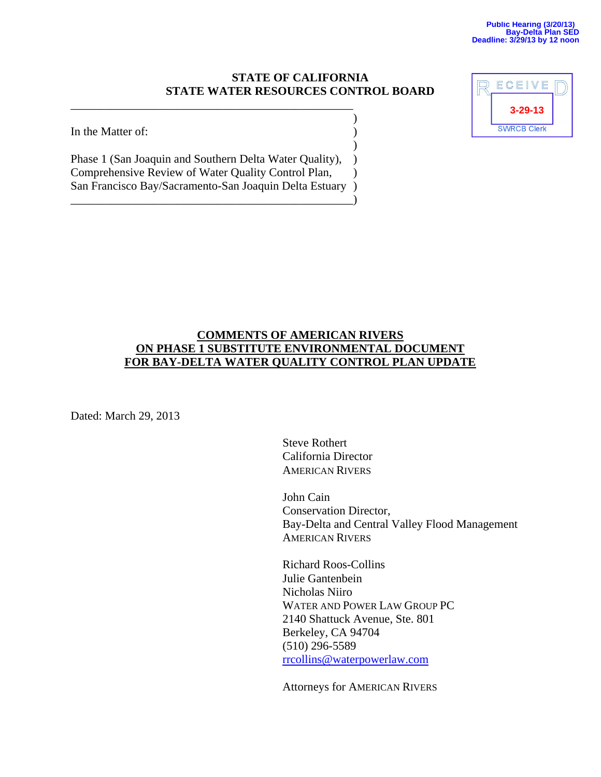#### **STATE OF CALIFORNIA STATE WATER RESOURCES CONTROL BOARD**

In the Matter of:  $\qquad \qquad$  )

Phase 1 (San Joaquin and Southern Delta Water Quality), ) Comprehensive Review of Water Quality Control Plan,  $\qquad$  ) San Francisco Bay/Sacramento-San Joaquin Delta Estuary )

\_\_\_\_\_\_\_\_\_\_\_\_\_\_\_\_\_\_\_\_\_\_\_\_\_\_\_\_\_\_\_\_\_\_\_\_\_\_\_\_\_\_\_\_\_\_\_\_)

 $)$ 

\_\_\_\_\_\_\_\_\_\_\_\_\_\_\_\_\_\_\_\_\_\_\_\_\_\_\_\_\_\_\_\_\_\_\_\_\_\_\_\_\_\_\_\_\_\_\_\_  $)$ 



### **COMMENTS OF AMERICAN RIVERS ON PHASE 1 SUBSTITUTE ENVIRONMENTAL DOCUMENT FOR BAY-DELTA WATER QUALITY CONTROL PLAN UPDATE**

Dated: March 29, 2013

Steve Rothert California Director AMERICAN RIVERS

John Cain Conservation Director, Bay-Delta and Central Valley Flood Management AMERICAN RIVERS

Richard Roos-Collins Julie Gantenbein Nicholas Niiro WATER AND POWER LAW GROUP PC 2140 Shattuck Avenue, Ste. 801 Berkeley, CA 94704 (510) 296-5589 rrcollins@waterpowerlaw.com

Attorneys for AMERICAN RIVERS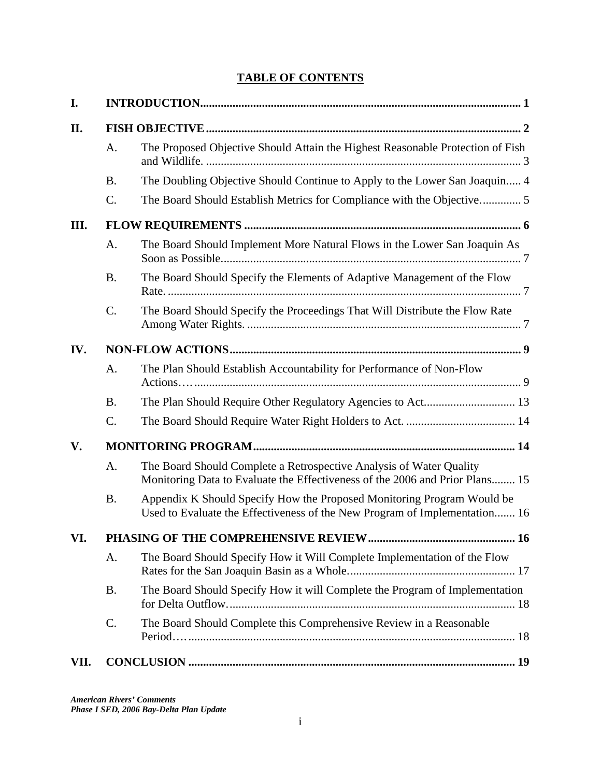# **TABLE OF CONTENTS**

| I.   |                 |                                                                                                                                                      |  |  |  |  |  |  |
|------|-----------------|------------------------------------------------------------------------------------------------------------------------------------------------------|--|--|--|--|--|--|
| П.   |                 |                                                                                                                                                      |  |  |  |  |  |  |
|      | A.              | The Proposed Objective Should Attain the Highest Reasonable Protection of Fish                                                                       |  |  |  |  |  |  |
|      | <b>B.</b>       | The Doubling Objective Should Continue to Apply to the Lower San Joaquin 4                                                                           |  |  |  |  |  |  |
|      | $\mathcal{C}$ . | The Board Should Establish Metrics for Compliance with the Objective5                                                                                |  |  |  |  |  |  |
| III. |                 |                                                                                                                                                      |  |  |  |  |  |  |
|      | A.              | The Board Should Implement More Natural Flows in the Lower San Joaquin As                                                                            |  |  |  |  |  |  |
|      | <b>B.</b>       | The Board Should Specify the Elements of Adaptive Management of the Flow                                                                             |  |  |  |  |  |  |
|      | C.              | The Board Should Specify the Proceedings That Will Distribute the Flow Rate                                                                          |  |  |  |  |  |  |
| IV.  |                 |                                                                                                                                                      |  |  |  |  |  |  |
|      | A.              | The Plan Should Establish Accountability for Performance of Non-Flow                                                                                 |  |  |  |  |  |  |
|      | <b>B.</b>       |                                                                                                                                                      |  |  |  |  |  |  |
|      | C.              |                                                                                                                                                      |  |  |  |  |  |  |
| V.   |                 |                                                                                                                                                      |  |  |  |  |  |  |
|      | A.              | The Board Should Complete a Retrospective Analysis of Water Quality<br>Monitoring Data to Evaluate the Effectiveness of the 2006 and Prior Plans 15  |  |  |  |  |  |  |
|      | <b>B.</b>       | Appendix K Should Specify How the Proposed Monitoring Program Would be<br>Used to Evaluate the Effectiveness of the New Program of Implementation 16 |  |  |  |  |  |  |
| VI.  |                 |                                                                                                                                                      |  |  |  |  |  |  |
|      | A.              | The Board Should Specify How it Will Complete Implementation of the Flow                                                                             |  |  |  |  |  |  |
|      | <b>B.</b>       | The Board Should Specify How it will Complete the Program of Implementation                                                                          |  |  |  |  |  |  |
|      | C.              | The Board Should Complete this Comprehensive Review in a Reasonable                                                                                  |  |  |  |  |  |  |
| VII. |                 |                                                                                                                                                      |  |  |  |  |  |  |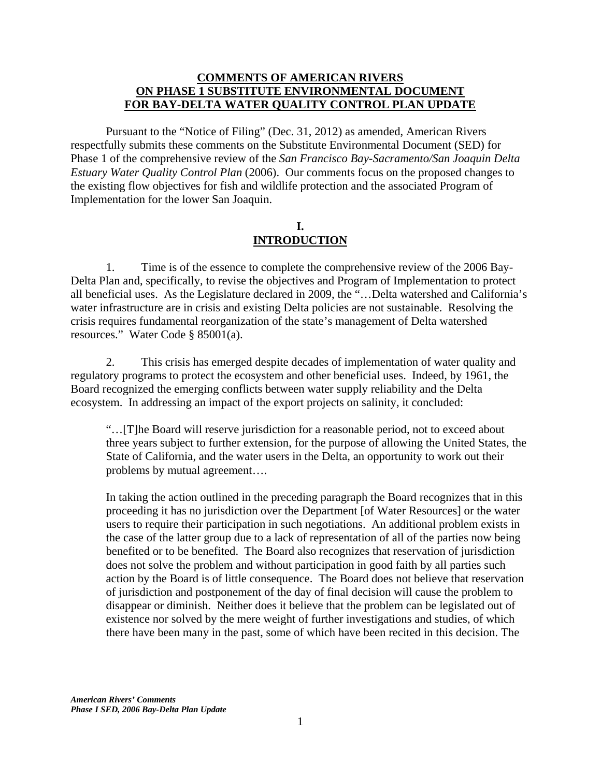#### **COMMENTS OF AMERICAN RIVERS ON PHASE 1 SUBSTITUTE ENVIRONMENTAL DOCUMENT FOR BAY-DELTA WATER QUALITY CONTROL PLAN UPDATE**

 Pursuant to the "Notice of Filing" (Dec. 31, 2012) as amended, American Rivers respectfully submits these comments on the Substitute Environmental Document (SED) for Phase 1 of the comprehensive review of the *San Francisco Bay-Sacramento/San Joaquin Delta Estuary Water Quality Control Plan* (2006). Our comments focus on the proposed changes to the existing flow objectives for fish and wildlife protection and the associated Program of Implementation for the lower San Joaquin.

### **I. INTRODUCTION**

1. Time is of the essence to complete the comprehensive review of the 2006 Bay-Delta Plan and, specifically, to revise the objectives and Program of Implementation to protect all beneficial uses. As the Legislature declared in 2009, the "…Delta watershed and California's water infrastructure are in crisis and existing Delta policies are not sustainable. Resolving the crisis requires fundamental reorganization of the state's management of Delta watershed resources." Water Code § 85001(a).

2. This crisis has emerged despite decades of implementation of water quality and regulatory programs to protect the ecosystem and other beneficial uses. Indeed, by 1961, the Board recognized the emerging conflicts between water supply reliability and the Delta ecosystem. In addressing an impact of the export projects on salinity, it concluded:

"…[T]he Board will reserve jurisdiction for a reasonable period, not to exceed about three years subject to further extension, for the purpose of allowing the United States, the State of California, and the water users in the Delta, an opportunity to work out their problems by mutual agreement….

In taking the action outlined in the preceding paragraph the Board recognizes that in this proceeding it has no jurisdiction over the Department [of Water Resources] or the water users to require their participation in such negotiations. An additional problem exists in the case of the latter group due to a lack of representation of all of the parties now being benefited or to be benefited. The Board also recognizes that reservation of jurisdiction does not solve the problem and without participation in good faith by all parties such action by the Board is of little consequence. The Board does not believe that reservation of jurisdiction and postponement of the day of final decision will cause the problem to disappear or diminish. Neither does it believe that the problem can be legislated out of existence nor solved by the mere weight of further investigations and studies, of which there have been many in the past, some of which have been recited in this decision. The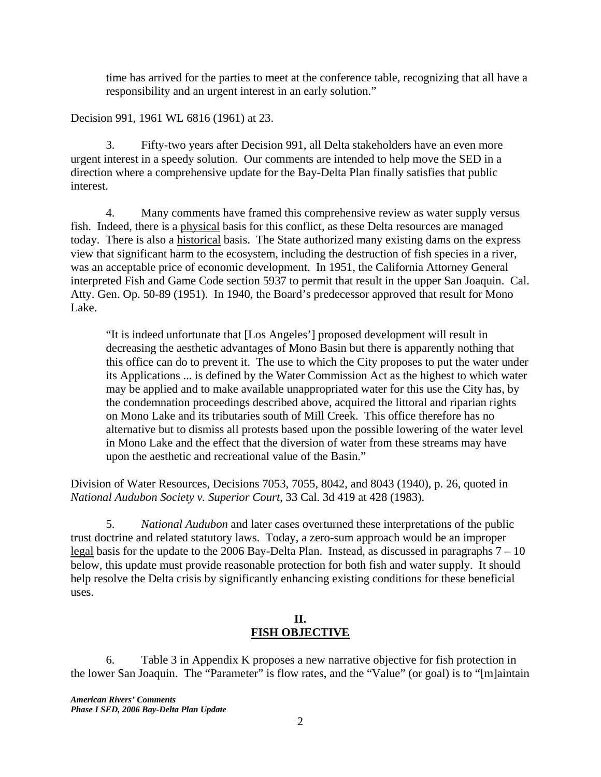time has arrived for the parties to meet at the conference table, recognizing that all have a responsibility and an urgent interest in an early solution."

Decision 991, 1961 WL 6816 (1961) at 23.

3. Fifty-two years after Decision 991, all Delta stakeholders have an even more urgent interest in a speedy solution. Our comments are intended to help move the SED in a direction where a comprehensive update for the Bay-Delta Plan finally satisfies that public interest.

4. Many comments have framed this comprehensive review as water supply versus fish. Indeed, there is a physical basis for this conflict, as these Delta resources are managed today. There is also a historical basis. The State authorized many existing dams on the express view that significant harm to the ecosystem, including the destruction of fish species in a river, was an acceptable price of economic development. In 1951, the California Attorney General interpreted Fish and Game Code section 5937 to permit that result in the upper San Joaquin. Cal. Atty. Gen. Op. 50-89 (1951). In 1940, the Board's predecessor approved that result for Mono Lake.

"It is indeed unfortunate that [Los Angeles'] proposed development will result in decreasing the aesthetic advantages of Mono Basin but there is apparently nothing that this office can do to prevent it. The use to which the City proposes to put the water under its Applications ... is defined by the Water Commission Act as the highest to which water may be applied and to make available unappropriated water for this use the City has, by the condemnation proceedings described above, acquired the littoral and riparian rights on Mono Lake and its tributaries south of Mill Creek. This office therefore has no alternative but to dismiss all protests based upon the possible lowering of the water level in Mono Lake and the effect that the diversion of water from these streams may have upon the aesthetic and recreational value of the Basin."

Division of Water Resources, Decisions 7053, 7055, 8042, and 8043 (1940), p. 26, quoted in *National Audubon Society v. Superior Court*, 33 Cal. 3d 419 at 428 (1983).

5. *National Audubon* and later cases overturned these interpretations of the public trust doctrine and related statutory laws. Today, a zero-sum approach would be an improper legal basis for the update to the 2006 Bay-Delta Plan. Instead, as discussed in paragraphs 7 – 10 below, this update must provide reasonable protection for both fish and water supply. It should help resolve the Delta crisis by significantly enhancing existing conditions for these beneficial uses.

### **II. FISH OBJECTIVE**

6. Table 3 in Appendix K proposes a new narrative objective for fish protection in the lower San Joaquin. The "Parameter" is flow rates, and the "Value" (or goal) is to "[m]aintain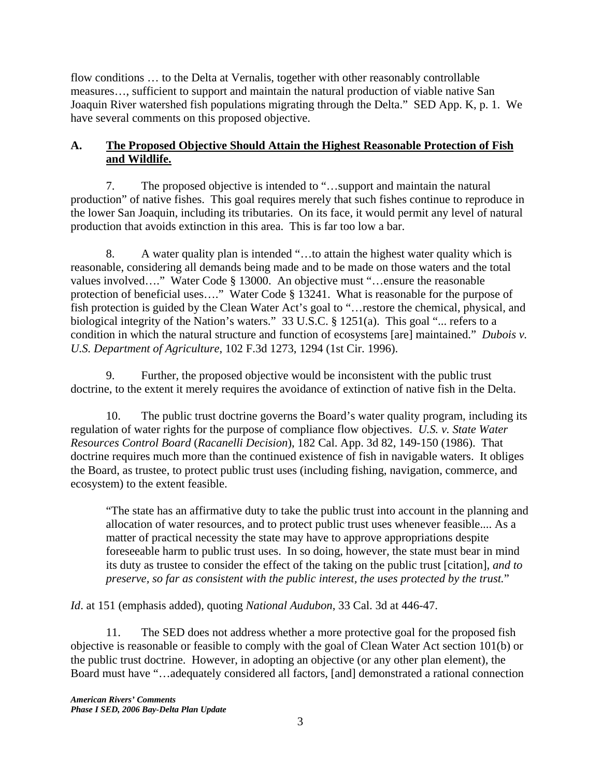flow conditions … to the Delta at Vernalis, together with other reasonably controllable measures…, sufficient to support and maintain the natural production of viable native San Joaquin River watershed fish populations migrating through the Delta." SED App. K, p. 1. We have several comments on this proposed objective.

## **A. The Proposed Objective Should Attain the Highest Reasonable Protection of Fish and Wildlife.**

7. The proposed objective is intended to "…support and maintain the natural production" of native fishes. This goal requires merely that such fishes continue to reproduce in the lower San Joaquin, including its tributaries. On its face, it would permit any level of natural production that avoids extinction in this area. This is far too low a bar.

8. A water quality plan is intended "...to attain the highest water quality which is reasonable, considering all demands being made and to be made on those waters and the total values involved…." Water Code § 13000. An objective must "…ensure the reasonable protection of beneficial uses…." Water Code § 13241. What is reasonable for the purpose of fish protection is guided by the Clean Water Act's goal to "…restore the chemical, physical, and biological integrity of the Nation's waters." 33 U.S.C. § 1251(a). This goal "... refers to a condition in which the natural structure and function of ecosystems [are] maintained." *Dubois v. U.S. Department of Agriculture*, 102 F.3d 1273, 1294 (1st Cir. 1996).

9. Further, the proposed objective would be inconsistent with the public trust doctrine, to the extent it merely requires the avoidance of extinction of native fish in the Delta.

10. The public trust doctrine governs the Board's water quality program, including its regulation of water rights for the purpose of compliance flow objectives. *U.S. v. State Water Resources Control Board* (*Racanelli Decision*), 182 Cal. App. 3d 82, 149-150 (1986). That doctrine requires much more than the continued existence of fish in navigable waters. It obliges the Board, as trustee, to protect public trust uses (including fishing, navigation, commerce, and ecosystem) to the extent feasible.

"The state has an affirmative duty to take the public trust into account in the planning and allocation of water resources, and to protect public trust uses whenever feasible.... As a matter of practical necessity the state may have to approve appropriations despite foreseeable harm to public trust uses. In so doing, however, the state must bear in mind its duty as trustee to consider the effect of the taking on the public trust [citation], *and to preserve, so far as consistent with the public interest, the uses protected by the trust.*"

*Id*. at 151 (emphasis added), quoting *National Audubon*, 33 Cal. 3d at 446-47.

11. The SED does not address whether a more protective goal for the proposed fish objective is reasonable or feasible to comply with the goal of Clean Water Act section 101(b) or the public trust doctrine. However, in adopting an objective (or any other plan element), the Board must have "…adequately considered all factors, [and] demonstrated a rational connection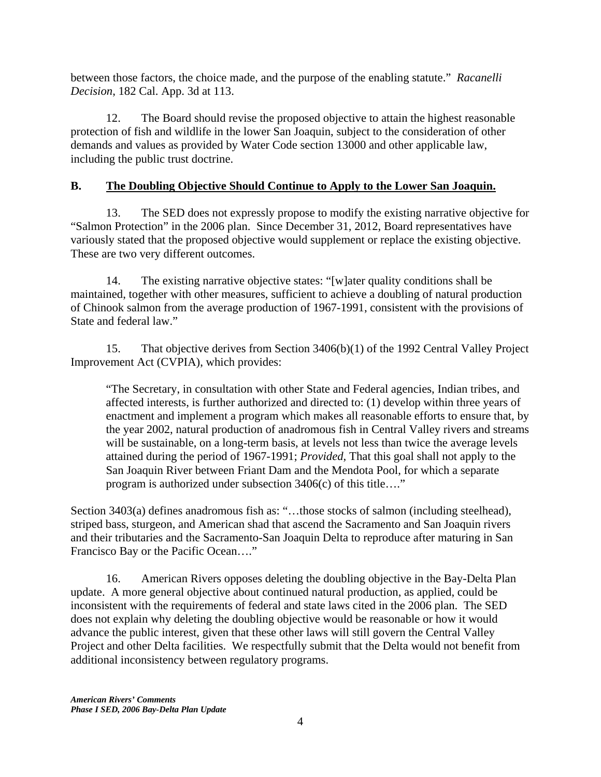between those factors, the choice made, and the purpose of the enabling statute." *Racanelli Decision*, 182 Cal. App. 3d at 113.

12. The Board should revise the proposed objective to attain the highest reasonable protection of fish and wildlife in the lower San Joaquin, subject to the consideration of other demands and values as provided by Water Code section 13000 and other applicable law, including the public trust doctrine.

# **B. The Doubling Objective Should Continue to Apply to the Lower San Joaquin.**

13. The SED does not expressly propose to modify the existing narrative objective for "Salmon Protection" in the 2006 plan. Since December 31, 2012, Board representatives have variously stated that the proposed objective would supplement or replace the existing objective. These are two very different outcomes.

14. The existing narrative objective states: "[w]ater quality conditions shall be maintained, together with other measures, sufficient to achieve a doubling of natural production of Chinook salmon from the average production of 1967-1991, consistent with the provisions of State and federal law."

15. That objective derives from Section 3406(b)(1) of the 1992 Central Valley Project Improvement Act (CVPIA), which provides:

"The Secretary, in consultation with other State and Federal agencies, Indian tribes, and affected interests, is further authorized and directed to: (1) develop within three years of enactment and implement a program which makes all reasonable efforts to ensure that, by the year 2002, natural production of anadromous fish in Central Valley rivers and streams will be sustainable, on a long-term basis, at levels not less than twice the average levels attained during the period of 1967-1991; *Provided*, That this goal shall not apply to the San Joaquin River between Friant Dam and the Mendota Pool, for which a separate program is authorized under subsection 3406(c) of this title…."

Section 3403(a) defines anadromous fish as: "...those stocks of salmon (including steelhead), striped bass, sturgeon, and American shad that ascend the Sacramento and San Joaquin rivers and their tributaries and the Sacramento-San Joaquin Delta to reproduce after maturing in San Francisco Bay or the Pacific Ocean…."

16. American Rivers opposes deleting the doubling objective in the Bay-Delta Plan update. A more general objective about continued natural production, as applied, could be inconsistent with the requirements of federal and state laws cited in the 2006 plan. The SED does not explain why deleting the doubling objective would be reasonable or how it would advance the public interest, given that these other laws will still govern the Central Valley Project and other Delta facilities. We respectfully submit that the Delta would not benefit from additional inconsistency between regulatory programs.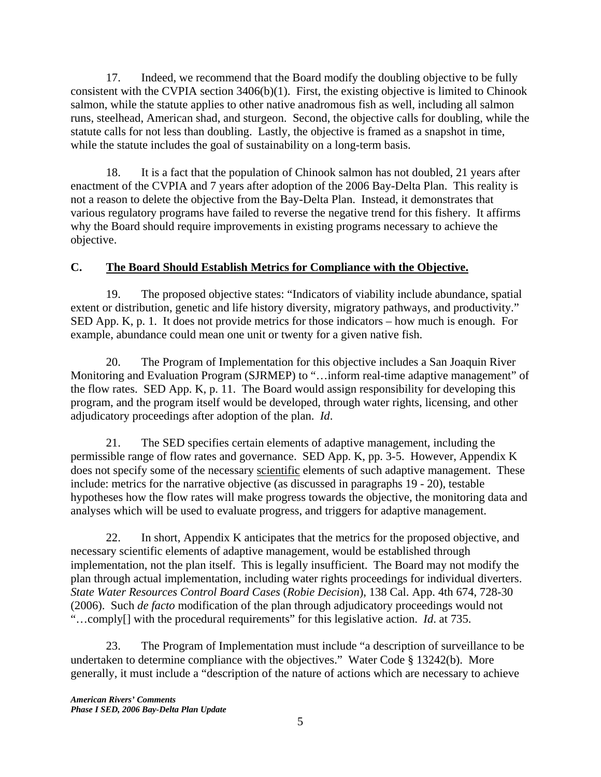17. Indeed, we recommend that the Board modify the doubling objective to be fully consistent with the CVPIA section 3406(b)(1). First, the existing objective is limited to Chinook salmon, while the statute applies to other native anadromous fish as well, including all salmon runs, steelhead, American shad, and sturgeon. Second, the objective calls for doubling, while the statute calls for not less than doubling. Lastly, the objective is framed as a snapshot in time, while the statute includes the goal of sustainability on a long-term basis.

18. It is a fact that the population of Chinook salmon has not doubled, 21 years after enactment of the CVPIA and 7 years after adoption of the 2006 Bay-Delta Plan. This reality is not a reason to delete the objective from the Bay-Delta Plan. Instead, it demonstrates that various regulatory programs have failed to reverse the negative trend for this fishery. It affirms why the Board should require improvements in existing programs necessary to achieve the objective.

# **C. The Board Should Establish Metrics for Compliance with the Objective.**

19. The proposed objective states: "Indicators of viability include abundance, spatial extent or distribution, genetic and life history diversity, migratory pathways, and productivity." SED App. K, p. 1. It does not provide metrics for those indicators – how much is enough. For example, abundance could mean one unit or twenty for a given native fish.

20. The Program of Implementation for this objective includes a San Joaquin River Monitoring and Evaluation Program (SJRMEP) to "…inform real-time adaptive management" of the flow rates. SED App. K, p. 11. The Board would assign responsibility for developing this program, and the program itself would be developed, through water rights, licensing, and other adjudicatory proceedings after adoption of the plan. *Id*.

21. The SED specifies certain elements of adaptive management, including the permissible range of flow rates and governance. SED App. K, pp. 3-5. However, Appendix K does not specify some of the necessary scientific elements of such adaptive management. These include: metrics for the narrative objective (as discussed in paragraphs 19 - 20), testable hypotheses how the flow rates will make progress towards the objective, the monitoring data and analyses which will be used to evaluate progress, and triggers for adaptive management.

22. In short, Appendix K anticipates that the metrics for the proposed objective, and necessary scientific elements of adaptive management, would be established through implementation, not the plan itself. This is legally insufficient. The Board may not modify the plan through actual implementation, including water rights proceedings for individual diverters. *State Water Resources Control Board Cases* (*Robie Decision*), 138 Cal. App. 4th 674, 728-30 (2006). Such *de facto* modification of the plan through adjudicatory proceedings would not "…comply[] with the procedural requirements" for this legislative action. *Id*. at 735.

23. The Program of Implementation must include "a description of surveillance to be undertaken to determine compliance with the objectives." Water Code § 13242(b). More generally, it must include a "description of the nature of actions which are necessary to achieve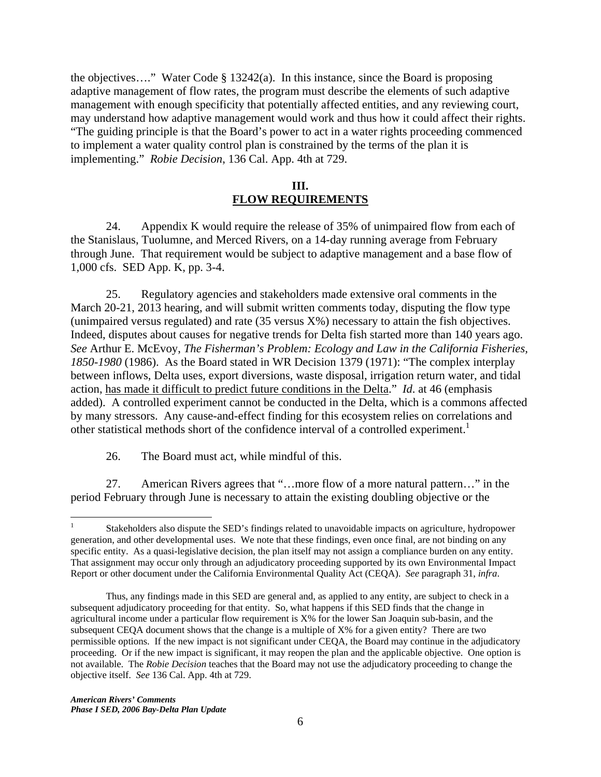the objectives…." Water Code § 13242(a). In this instance, since the Board is proposing adaptive management of flow rates, the program must describe the elements of such adaptive management with enough specificity that potentially affected entities, and any reviewing court, may understand how adaptive management would work and thus how it could affect their rights. "The guiding principle is that the Board's power to act in a water rights proceeding commenced to implement a water quality control plan is constrained by the terms of the plan it is implementing." *Robie Decision*, 136 Cal. App. 4th at 729.

#### **III. FLOW REQUIREMENTS**

24. Appendix K would require the release of 35% of unimpaired flow from each of the Stanislaus, Tuolumne, and Merced Rivers, on a 14-day running average from February through June. That requirement would be subject to adaptive management and a base flow of 1,000 cfs. SED App. K, pp. 3-4.

25. Regulatory agencies and stakeholders made extensive oral comments in the March 20-21, 2013 hearing, and will submit written comments today, disputing the flow type (unimpaired versus regulated) and rate (35 versus X%) necessary to attain the fish objectives. Indeed, disputes about causes for negative trends for Delta fish started more than 140 years ago. *See* Arthur E. McEvoy, *The Fisherman's Problem: Ecology and Law in the California Fisheries, 1850-1980* (1986). As the Board stated in WR Decision 1379 (1971): "The complex interplay between inflows, Delta uses, export diversions, waste disposal, irrigation return water, and tidal action, has made it difficult to predict future conditions in the Delta." *Id*. at 46 (emphasis added). A controlled experiment cannot be conducted in the Delta, which is a commons affected by many stressors. Any cause-and-effect finding for this ecosystem relies on correlations and other statistical methods short of the confidence interval of a controlled experiment.<sup>1</sup>

26. The Board must act, while mindful of this.

27. American Rivers agrees that "…more flow of a more natural pattern…" in the period February through June is necessary to attain the existing doubling objective or the

 $\frac{1}{1}$  Stakeholders also dispute the SED's findings related to unavoidable impacts on agriculture, hydropower generation, and other developmental uses. We note that these findings, even once final, are not binding on any specific entity. As a quasi-legislative decision, the plan itself may not assign a compliance burden on any entity. That assignment may occur only through an adjudicatory proceeding supported by its own Environmental Impact Report or other document under the California Environmental Quality Act (CEQA). *See* paragraph 31, *infra*.

Thus, any findings made in this SED are general and, as applied to any entity, are subject to check in a subsequent adjudicatory proceeding for that entity. So, what happens if this SED finds that the change in agricultural income under a particular flow requirement is X% for the lower San Joaquin sub-basin, and the subsequent CEQA document shows that the change is a multiple of X% for a given entity? There are two permissible options. If the new impact is not significant under CEQA, the Board may continue in the adjudicatory proceeding. Or if the new impact is significant, it may reopen the plan and the applicable objective. One option is not available. The *Robie Decision* teaches that the Board may not use the adjudicatory proceeding to change the objective itself. *See* 136 Cal. App. 4th at 729.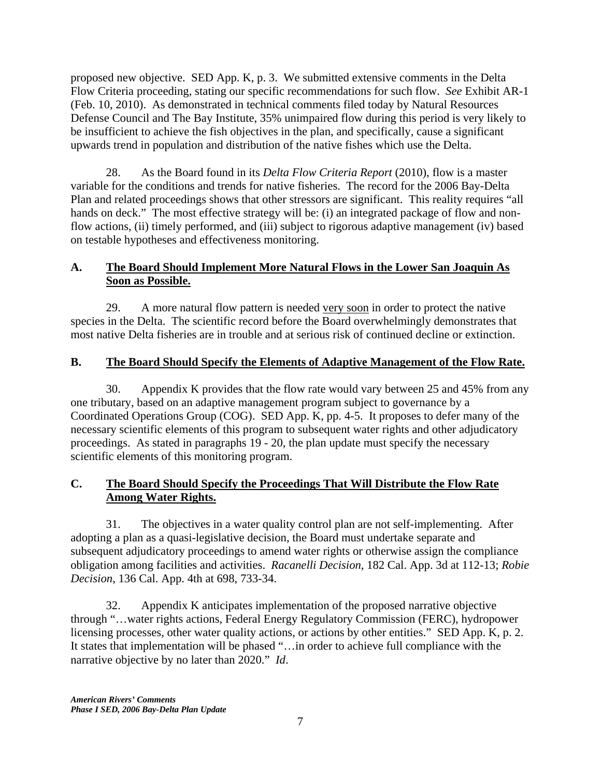proposed new objective. SED App. K, p. 3. We submitted extensive comments in the Delta Flow Criteria proceeding, stating our specific recommendations for such flow. *See* Exhibit AR-1 (Feb. 10, 2010). As demonstrated in technical comments filed today by Natural Resources Defense Council and The Bay Institute, 35% unimpaired flow during this period is very likely to be insufficient to achieve the fish objectives in the plan, and specifically, cause a significant upwards trend in population and distribution of the native fishes which use the Delta.

28. As the Board found in its *Delta Flow Criteria Report* (2010), flow is a master variable for the conditions and trends for native fisheries. The record for the 2006 Bay-Delta Plan and related proceedings shows that other stressors are significant. This reality requires "all hands on deck." The most effective strategy will be: (i) an integrated package of flow and nonflow actions, (ii) timely performed, and (iii) subject to rigorous adaptive management (iv) based on testable hypotheses and effectiveness monitoring.

# **A. The Board Should Implement More Natural Flows in the Lower San Joaquin As Soon as Possible.**

29. A more natural flow pattern is needed very soon in order to protect the native species in the Delta. The scientific record before the Board overwhelmingly demonstrates that most native Delta fisheries are in trouble and at serious risk of continued decline or extinction.

# **B. The Board Should Specify the Elements of Adaptive Management of the Flow Rate.**

30. Appendix K provides that the flow rate would vary between 25 and 45% from any one tributary, based on an adaptive management program subject to governance by a Coordinated Operations Group (COG). SED App. K, pp. 4-5. It proposes to defer many of the necessary scientific elements of this program to subsequent water rights and other adjudicatory proceedings. As stated in paragraphs 19 - 20, the plan update must specify the necessary scientific elements of this monitoring program.

## **C. The Board Should Specify the Proceedings That Will Distribute the Flow Rate Among Water Rights.**

31. The objectives in a water quality control plan are not self-implementing. After adopting a plan as a quasi-legislative decision, the Board must undertake separate and subsequent adjudicatory proceedings to amend water rights or otherwise assign the compliance obligation among facilities and activities. *Racanelli Decision*, 182 Cal. App. 3d at 112-13; *Robie Decision*, 136 Cal. App. 4th at 698, 733-34.

32. Appendix K anticipates implementation of the proposed narrative objective through "…water rights actions, Federal Energy Regulatory Commission (FERC), hydropower licensing processes, other water quality actions, or actions by other entities." SED App. K, p. 2. It states that implementation will be phased "…in order to achieve full compliance with the narrative objective by no later than 2020." *Id*.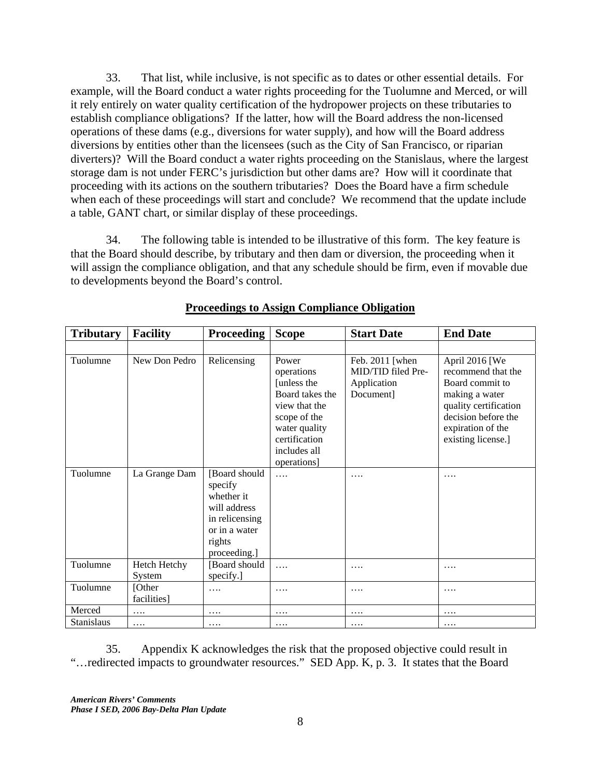33. That list, while inclusive, is not specific as to dates or other essential details. For example, will the Board conduct a water rights proceeding for the Tuolumne and Merced, or will it rely entirely on water quality certification of the hydropower projects on these tributaries to establish compliance obligations? If the latter, how will the Board address the non-licensed operations of these dams (e.g., diversions for water supply), and how will the Board address diversions by entities other than the licensees (such as the City of San Francisco, or riparian diverters)? Will the Board conduct a water rights proceeding on the Stanislaus, where the largest storage dam is not under FERC's jurisdiction but other dams are? How will it coordinate that proceeding with its actions on the southern tributaries? Does the Board have a firm schedule when each of these proceedings will start and conclude? We recommend that the update include a table, GANT chart, or similar display of these proceedings.

34. The following table is intended to be illustrative of this form. The key feature is that the Board should describe, by tributary and then dam or diversion, the proceeding when it will assign the compliance obligation, and that any schedule should be firm, even if movable due to developments beyond the Board's control.

| <b>Tributary</b>  | <b>Facility</b>        | <b>Proceeding</b>                                                                                                   | <b>Scope</b>                                                                                                                                            | <b>Start Date</b>                                                 | <b>End Date</b>                                                                                                                                                      |
|-------------------|------------------------|---------------------------------------------------------------------------------------------------------------------|---------------------------------------------------------------------------------------------------------------------------------------------------------|-------------------------------------------------------------------|----------------------------------------------------------------------------------------------------------------------------------------------------------------------|
|                   |                        |                                                                                                                     |                                                                                                                                                         |                                                                   |                                                                                                                                                                      |
| Tuolumne          | New Don Pedro          | Relicensing                                                                                                         | Power<br>operations<br>[unless the<br>Board takes the<br>view that the<br>scope of the<br>water quality<br>certification<br>includes all<br>operations] | Feb. 2011 [when<br>MID/TID filed Pre-<br>Application<br>Document] | April 2016 [We<br>recommend that the<br>Board commit to<br>making a water<br>quality certification<br>decision before the<br>expiration of the<br>existing license.] |
| Tuolumne          | La Grange Dam          | [Board should<br>specify<br>whether it<br>will address<br>in relicensing<br>or in a water<br>rights<br>proceeding.] | .                                                                                                                                                       | .                                                                 | .                                                                                                                                                                    |
| Tuolumne          | Hetch Hetchy<br>System | [Board should<br>specify.]                                                                                          | .                                                                                                                                                       | .                                                                 | .                                                                                                                                                                    |
| Tuolumne          | [Other<br>facilities]  | $\cdots$                                                                                                            | .                                                                                                                                                       | .                                                                 | .                                                                                                                                                                    |
| Merced            | .                      | .                                                                                                                   | .                                                                                                                                                       | .                                                                 | .                                                                                                                                                                    |
| <b>Stanislaus</b> | $\cdots$               | $\cdots$                                                                                                            | $\cdots$                                                                                                                                                | $\cdots$                                                          | .                                                                                                                                                                    |

### **Proceedings to Assign Compliance Obligation**

35. Appendix K acknowledges the risk that the proposed objective could result in "…redirected impacts to groundwater resources." SED App. K, p. 3. It states that the Board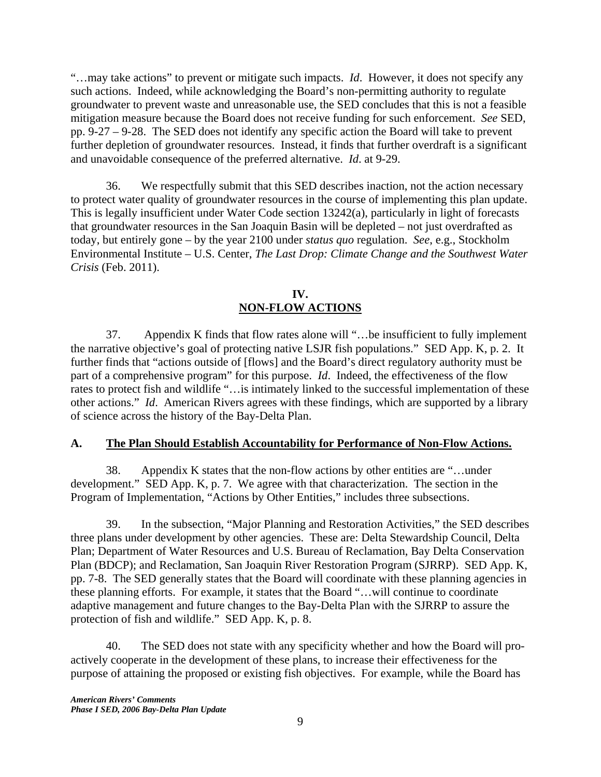"…may take actions" to prevent or mitigate such impacts. *Id*. However, it does not specify any such actions. Indeed, while acknowledging the Board's non-permitting authority to regulate groundwater to prevent waste and unreasonable use, the SED concludes that this is not a feasible mitigation measure because the Board does not receive funding for such enforcement. *See* SED, pp. 9-27 – 9-28. The SED does not identify any specific action the Board will take to prevent further depletion of groundwater resources. Instead, it finds that further overdraft is a significant and unavoidable consequence of the preferred alternative. *Id*. at 9-29.

36. We respectfully submit that this SED describes inaction, not the action necessary to protect water quality of groundwater resources in the course of implementing this plan update. This is legally insufficient under Water Code section 13242(a), particularly in light of forecasts that groundwater resources in the San Joaquin Basin will be depleted – not just overdrafted as today, but entirely gone – by the year 2100 under *status quo* regulation. *See*, e.g., Stockholm Environmental Institute – U.S. Center, *The Last Drop: Climate Change and the Southwest Water Crisis* (Feb. 2011).

#### **IV. NON-FLOW ACTIONS**

37. Appendix K finds that flow rates alone will "…be insufficient to fully implement the narrative objective's goal of protecting native LSJR fish populations." SED App. K, p. 2. It further finds that "actions outside of [flows] and the Board's direct regulatory authority must be part of a comprehensive program" for this purpose. *Id*. Indeed, the effectiveness of the flow rates to protect fish and wildlife "…is intimately linked to the successful implementation of these other actions." *Id*. American Rivers agrees with these findings, which are supported by a library of science across the history of the Bay-Delta Plan.

#### **A. The Plan Should Establish Accountability for Performance of Non-Flow Actions.**

38. Appendix K states that the non-flow actions by other entities are "…under development." SED App. K, p. 7. We agree with that characterization. The section in the Program of Implementation, "Actions by Other Entities," includes three subsections.

39. In the subsection, "Major Planning and Restoration Activities," the SED describes three plans under development by other agencies. These are: Delta Stewardship Council, Delta Plan; Department of Water Resources and U.S. Bureau of Reclamation, Bay Delta Conservation Plan (BDCP); and Reclamation, San Joaquin River Restoration Program (SJRRP). SED App. K, pp. 7-8. The SED generally states that the Board will coordinate with these planning agencies in these planning efforts. For example, it states that the Board "…will continue to coordinate adaptive management and future changes to the Bay-Delta Plan with the SJRRP to assure the protection of fish and wildlife." SED App. K, p. 8.

40. The SED does not state with any specificity whether and how the Board will proactively cooperate in the development of these plans, to increase their effectiveness for the purpose of attaining the proposed or existing fish objectives. For example, while the Board has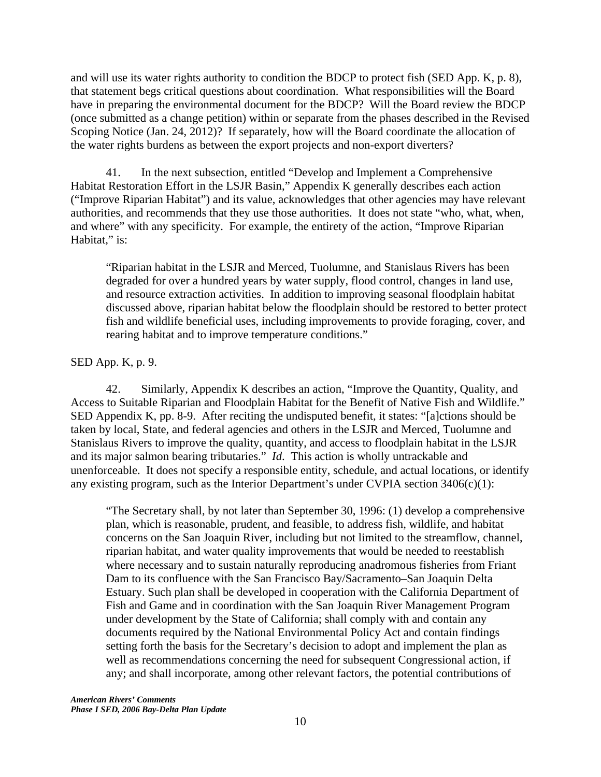and will use its water rights authority to condition the BDCP to protect fish (SED App. K, p. 8), that statement begs critical questions about coordination. What responsibilities will the Board have in preparing the environmental document for the BDCP? Will the Board review the BDCP (once submitted as a change petition) within or separate from the phases described in the Revised Scoping Notice (Jan. 24, 2012)? If separately, how will the Board coordinate the allocation of the water rights burdens as between the export projects and non-export diverters?

41. In the next subsection, entitled "Develop and Implement a Comprehensive Habitat Restoration Effort in the LSJR Basin," Appendix K generally describes each action ("Improve Riparian Habitat") and its value, acknowledges that other agencies may have relevant authorities, and recommends that they use those authorities. It does not state "who, what, when, and where" with any specificity. For example, the entirety of the action, "Improve Riparian Habitat," is:

"Riparian habitat in the LSJR and Merced, Tuolumne, and Stanislaus Rivers has been degraded for over a hundred years by water supply, flood control, changes in land use, and resource extraction activities. In addition to improving seasonal floodplain habitat discussed above, riparian habitat below the floodplain should be restored to better protect fish and wildlife beneficial uses, including improvements to provide foraging, cover, and rearing habitat and to improve temperature conditions."

#### SED App. K, p. 9.

42. Similarly, Appendix K describes an action, "Improve the Quantity, Quality, and Access to Suitable Riparian and Floodplain Habitat for the Benefit of Native Fish and Wildlife." SED Appendix K, pp. 8-9. After reciting the undisputed benefit, it states: "[a]ctions should be taken by local, State, and federal agencies and others in the LSJR and Merced, Tuolumne and Stanislaus Rivers to improve the quality, quantity, and access to floodplain habitat in the LSJR and its major salmon bearing tributaries." *Id*. This action is wholly untrackable and unenforceable. It does not specify a responsible entity, schedule, and actual locations, or identify any existing program, such as the Interior Department's under CVPIA section  $3406(c)(1)$ :

"The Secretary shall, by not later than September 30, 1996: (1) develop a comprehensive plan, which is reasonable, prudent, and feasible, to address fish, wildlife, and habitat concerns on the San Joaquin River, including but not limited to the streamflow, channel, riparian habitat, and water quality improvements that would be needed to reestablish where necessary and to sustain naturally reproducing anadromous fisheries from Friant Dam to its confluence with the San Francisco Bay/Sacramento–San Joaquin Delta Estuary. Such plan shall be developed in cooperation with the California Department of Fish and Game and in coordination with the San Joaquin River Management Program under development by the State of California; shall comply with and contain any documents required by the National Environmental Policy Act and contain findings setting forth the basis for the Secretary's decision to adopt and implement the plan as well as recommendations concerning the need for subsequent Congressional action, if any; and shall incorporate, among other relevant factors, the potential contributions of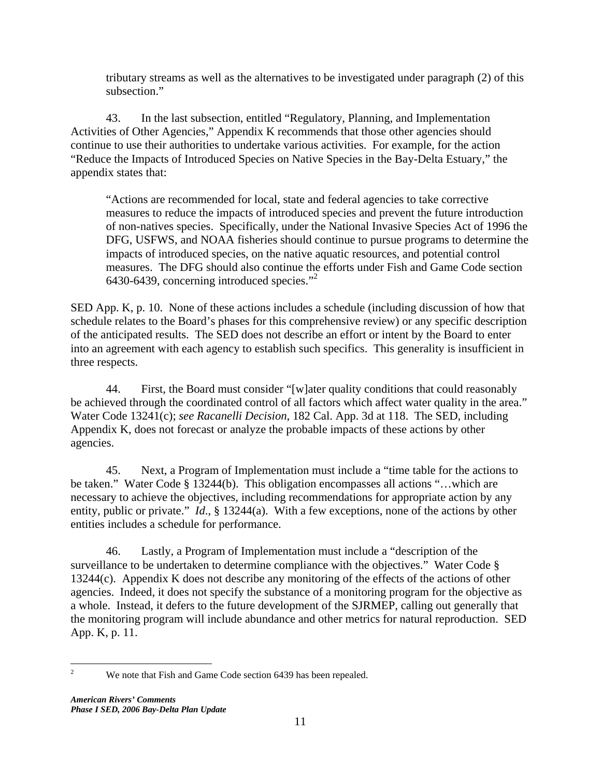tributary streams as well as the alternatives to be investigated under paragraph (2) of this subsection."

43. In the last subsection, entitled "Regulatory, Planning, and Implementation Activities of Other Agencies," Appendix K recommends that those other agencies should continue to use their authorities to undertake various activities. For example, for the action "Reduce the Impacts of Introduced Species on Native Species in the Bay-Delta Estuary," the appendix states that:

"Actions are recommended for local, state and federal agencies to take corrective measures to reduce the impacts of introduced species and prevent the future introduction of non-natives species. Specifically, under the National Invasive Species Act of 1996 the DFG, USFWS, and NOAA fisheries should continue to pursue programs to determine the impacts of introduced species, on the native aquatic resources, and potential control measures. The DFG should also continue the efforts under Fish and Game Code section 6430-6439, concerning introduced species."2

SED App. K, p. 10. None of these actions includes a schedule (including discussion of how that schedule relates to the Board's phases for this comprehensive review) or any specific description of the anticipated results. The SED does not describe an effort or intent by the Board to enter into an agreement with each agency to establish such specifics. This generality is insufficient in three respects.

44. First, the Board must consider "[w]ater quality conditions that could reasonably be achieved through the coordinated control of all factors which affect water quality in the area." Water Code 13241(c); *see Racanelli Decision*, 182 Cal. App. 3d at 118. The SED, including Appendix K, does not forecast or analyze the probable impacts of these actions by other agencies.

45. Next, a Program of Implementation must include a "time table for the actions to be taken." Water Code § 13244(b). This obligation encompasses all actions "…which are necessary to achieve the objectives, including recommendations for appropriate action by any entity, public or private." *Id*., § 13244(a). With a few exceptions, none of the actions by other entities includes a schedule for performance.

46. Lastly, a Program of Implementation must include a "description of the surveillance to be undertaken to determine compliance with the objectives." Water Code § 13244(c). Appendix K does not describe any monitoring of the effects of the actions of other agencies. Indeed, it does not specify the substance of a monitoring program for the objective as a whole. Instead, it defers to the future development of the SJRMEP, calling out generally that the monitoring program will include abundance and other metrics for natural reproduction. SED App. K, p. 11.

 $\frac{1}{2}$ We note that Fish and Game Code section 6439 has been repealed.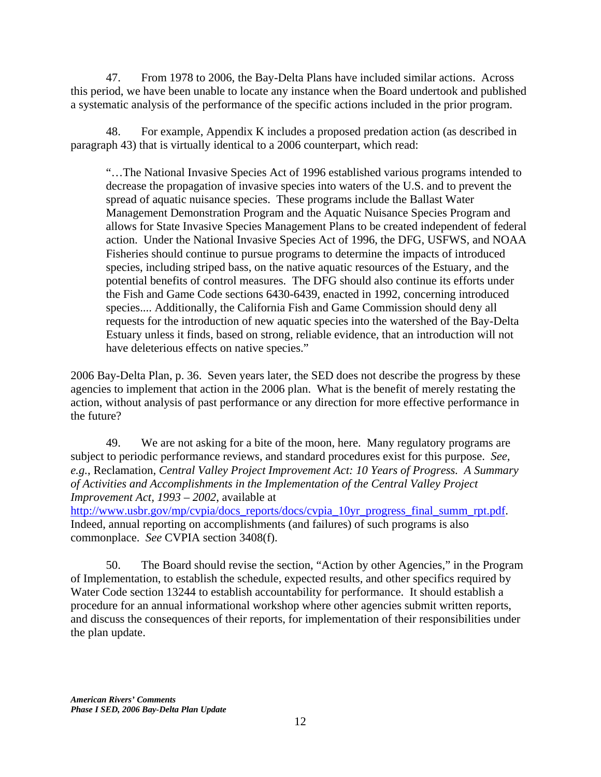47. From 1978 to 2006, the Bay-Delta Plans have included similar actions. Across this period, we have been unable to locate any instance when the Board undertook and published a systematic analysis of the performance of the specific actions included in the prior program.

48. For example, Appendix K includes a proposed predation action (as described in paragraph 43) that is virtually identical to a 2006 counterpart, which read:

"…The National Invasive Species Act of 1996 established various programs intended to decrease the propagation of invasive species into waters of the U.S. and to prevent the spread of aquatic nuisance species. These programs include the Ballast Water Management Demonstration Program and the Aquatic Nuisance Species Program and allows for State Invasive Species Management Plans to be created independent of federal action. Under the National Invasive Species Act of 1996, the DFG, USFWS, and NOAA Fisheries should continue to pursue programs to determine the impacts of introduced species, including striped bass, on the native aquatic resources of the Estuary, and the potential benefits of control measures. The DFG should also continue its efforts under the Fish and Game Code sections 6430-6439, enacted in 1992, concerning introduced species.... Additionally, the California Fish and Game Commission should deny all requests for the introduction of new aquatic species into the watershed of the Bay-Delta Estuary unless it finds, based on strong, reliable evidence, that an introduction will not have deleterious effects on native species."

2006 Bay-Delta Plan, p. 36. Seven years later, the SED does not describe the progress by these agencies to implement that action in the 2006 plan. What is the benefit of merely restating the action, without analysis of past performance or any direction for more effective performance in the future?

49. We are not asking for a bite of the moon, here. Many regulatory programs are subject to periodic performance reviews, and standard procedures exist for this purpose. *See, e.g.*, Reclamation, *Central Valley Project Improvement Act: 10 Years of Progress. A Summary of Activities and Accomplishments in the Implementation of the Central Valley Project Improvement Act, 1993 – 2002*, available at

http://www.usbr.gov/mp/cvpia/docs\_reports/docs/cvpia\_10yr\_progress\_final\_summ\_rpt.pdf. Indeed, annual reporting on accomplishments (and failures) of such programs is also commonplace. *See* CVPIA section 3408(f).

50. The Board should revise the section, "Action by other Agencies," in the Program of Implementation, to establish the schedule, expected results, and other specifics required by Water Code section 13244 to establish accountability for performance. It should establish a procedure for an annual informational workshop where other agencies submit written reports, and discuss the consequences of their reports, for implementation of their responsibilities under the plan update.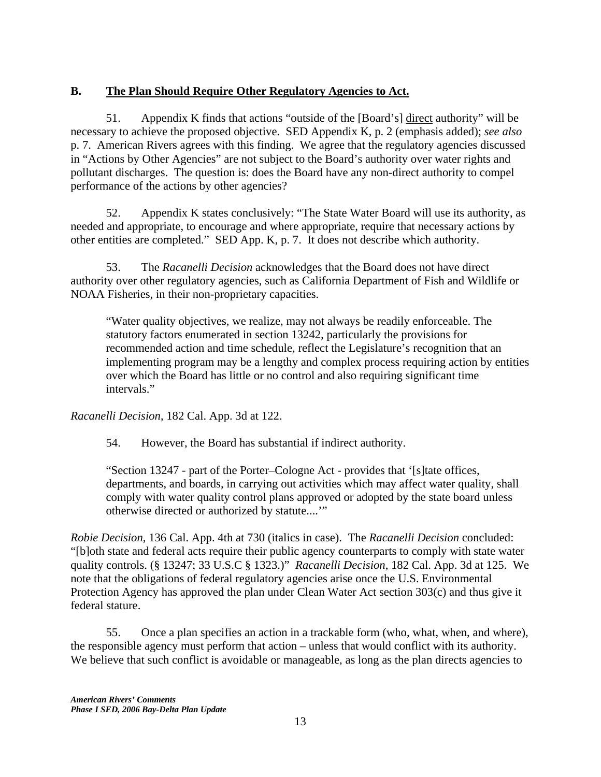# **B. The Plan Should Require Other Regulatory Agencies to Act.**

51. Appendix K finds that actions "outside of the [Board's] direct authority" will be necessary to achieve the proposed objective. SED Appendix K, p. 2 (emphasis added); *see also* p. 7. American Rivers agrees with this finding. We agree that the regulatory agencies discussed in "Actions by Other Agencies" are not subject to the Board's authority over water rights and pollutant discharges. The question is: does the Board have any non-direct authority to compel performance of the actions by other agencies?

52. Appendix K states conclusively: "The State Water Board will use its authority, as needed and appropriate, to encourage and where appropriate, require that necessary actions by other entities are completed." SED App. K, p. 7. It does not describe which authority.

53. The *Racanelli Decision* acknowledges that the Board does not have direct authority over other regulatory agencies, such as California Department of Fish and Wildlife or NOAA Fisheries, in their non-proprietary capacities.

"Water quality objectives, we realize, may not always be readily enforceable. The statutory factors enumerated in section 13242, particularly the provisions for recommended action and time schedule, reflect the Legislature's recognition that an implementing program may be a lengthy and complex process requiring action by entities over which the Board has little or no control and also requiring significant time intervals."

*Racanelli Decision*, 182 Cal. App. 3d at 122.

54. However, the Board has substantial if indirect authority.

"Section 13247 - part of the Porter–Cologne Act - provides that '[s]tate offices, departments, and boards, in carrying out activities which may affect water quality, shall comply with water quality control plans approved or adopted by the state board unless otherwise directed or authorized by statute....'"

*Robie Decision*, 136 Cal. App. 4th at 730 (italics in case). The *Racanelli Decision* concluded: "[b]oth state and federal acts require their public agency counterparts to comply with state water quality controls. (§ 13247; 33 U.S.C § 1323.)" *Racanelli Decision*, 182 Cal. App. 3d at 125. We note that the obligations of federal regulatory agencies arise once the U.S. Environmental Protection Agency has approved the plan under Clean Water Act section 303(c) and thus give it federal stature.

55. Once a plan specifies an action in a trackable form (who, what, when, and where), the responsible agency must perform that action – unless that would conflict with its authority. We believe that such conflict is avoidable or manageable, as long as the plan directs agencies to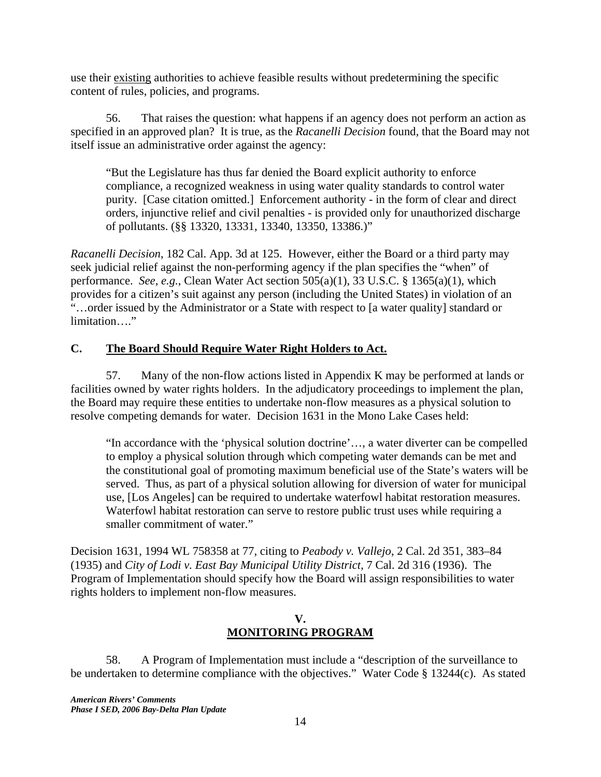use their existing authorities to achieve feasible results without predetermining the specific content of rules, policies, and programs.

56. That raises the question: what happens if an agency does not perform an action as specified in an approved plan? It is true, as the *Racanelli Decision* found, that the Board may not itself issue an administrative order against the agency:

"But the Legislature has thus far denied the Board explicit authority to enforce compliance, a recognized weakness in using water quality standards to control water purity. [Case citation omitted.] Enforcement authority - in the form of clear and direct orders, injunctive relief and civil penalties - is provided only for unauthorized discharge of pollutants. (§§ 13320, 13331, 13340, 13350, 13386.)"

*Racanelli Decision*, 182 Cal. App. 3d at 125. However, either the Board or a third party may seek judicial relief against the non-performing agency if the plan specifies the "when" of performance. *See, e.g.*, Clean Water Act section 505(a)(1), 33 U.S.C. § 1365(a)(1), which provides for a citizen's suit against any person (including the United States) in violation of an "...order issued by the Administrator or a State with respect to [a water quality] standard or limitation…."

### **C. The Board Should Require Water Right Holders to Act.**

57. Many of the non-flow actions listed in Appendix K may be performed at lands or facilities owned by water rights holders. In the adjudicatory proceedings to implement the plan, the Board may require these entities to undertake non-flow measures as a physical solution to resolve competing demands for water. Decision 1631 in the Mono Lake Cases held:

"In accordance with the 'physical solution doctrine'…, a water diverter can be compelled to employ a physical solution through which competing water demands can be met and the constitutional goal of promoting maximum beneficial use of the State's waters will be served. Thus, as part of a physical solution allowing for diversion of water for municipal use, [Los Angeles] can be required to undertake waterfowl habitat restoration measures. Waterfowl habitat restoration can serve to restore public trust uses while requiring a smaller commitment of water."

Decision 1631, 1994 WL 758358 at 77, citing to *Peabody v. Vallejo*, 2 Cal. 2d 351, 383–84 (1935) and *City of Lodi v. East Bay Municipal Utility District*, 7 Cal. 2d 316 (1936). The Program of Implementation should specify how the Board will assign responsibilities to water rights holders to implement non-flow measures.

### **V. MONITORING PROGRAM**

58. A Program of Implementation must include a "description of the surveillance to be undertaken to determine compliance with the objectives." Water Code § 13244(c). As stated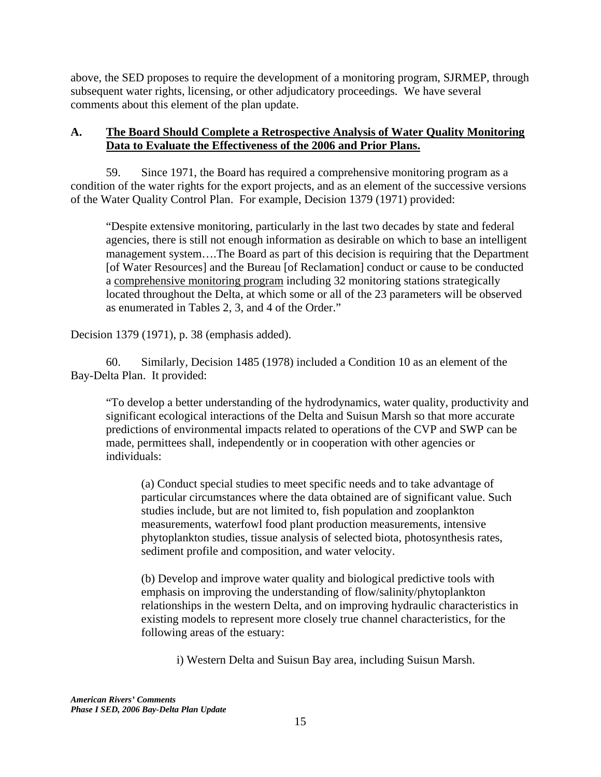above, the SED proposes to require the development of a monitoring program, SJRMEP, through subsequent water rights, licensing, or other adjudicatory proceedings. We have several comments about this element of the plan update.

### **A. The Board Should Complete a Retrospective Analysis of Water Quality Monitoring Data to Evaluate the Effectiveness of the 2006 and Prior Plans.**

59. Since 1971, the Board has required a comprehensive monitoring program as a condition of the water rights for the export projects, and as an element of the successive versions of the Water Quality Control Plan. For example, Decision 1379 (1971) provided:

"Despite extensive monitoring, particularly in the last two decades by state and federal agencies, there is still not enough information as desirable on which to base an intelligent management system….The Board as part of this decision is requiring that the Department [of Water Resources] and the Bureau [of Reclamation] conduct or cause to be conducted a comprehensive monitoring program including 32 monitoring stations strategically located throughout the Delta, at which some or all of the 23 parameters will be observed as enumerated in Tables 2, 3, and 4 of the Order."

Decision 1379 (1971), p. 38 (emphasis added).

60. Similarly, Decision 1485 (1978) included a Condition 10 as an element of the Bay-Delta Plan. It provided:

"To develop a better understanding of the hydrodynamics, water quality, productivity and significant ecological interactions of the Delta and Suisun Marsh so that more accurate predictions of environmental impacts related to operations of the CVP and SWP can be made, permittees shall, independently or in cooperation with other agencies or individuals:

(a) Conduct special studies to meet specific needs and to take advantage of particular circumstances where the data obtained are of significant value. Such studies include, but are not limited to, fish population and zooplankton measurements, waterfowl food plant production measurements, intensive phytoplankton studies, tissue analysis of selected biota, photosynthesis rates, sediment profile and composition, and water velocity.

(b) Develop and improve water quality and biological predictive tools with emphasis on improving the understanding of flow/salinity/phytoplankton relationships in the western Delta, and on improving hydraulic characteristics in existing models to represent more closely true channel characteristics, for the following areas of the estuary:

i) Western Delta and Suisun Bay area, including Suisun Marsh.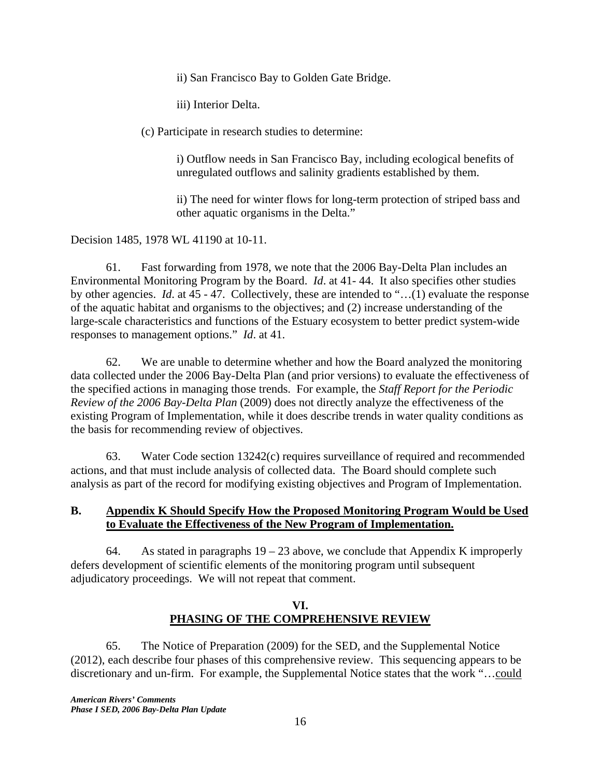ii) San Francisco Bay to Golden Gate Bridge.

iii) Interior Delta.

(c) Participate in research studies to determine:

i) Outflow needs in San Francisco Bay, including ecological benefits of unregulated outflows and salinity gradients established by them.

ii) The need for winter flows for long-term protection of striped bass and other aquatic organisms in the Delta."

Decision 1485, 1978 WL 41190 at 10-11.

61. Fast forwarding from 1978, we note that the 2006 Bay-Delta Plan includes an Environmental Monitoring Program by the Board. *Id*. at 41- 44. It also specifies other studies by other agencies. *Id*. at 45 - 47. Collectively, these are intended to "…(1) evaluate the response of the aquatic habitat and organisms to the objectives; and (2) increase understanding of the large-scale characteristics and functions of the Estuary ecosystem to better predict system-wide responses to management options." *Id*. at 41.

62. We are unable to determine whether and how the Board analyzed the monitoring data collected under the 2006 Bay-Delta Plan (and prior versions) to evaluate the effectiveness of the specified actions in managing those trends. For example, the *Staff Report for the Periodic Review of the 2006 Bay-Delta Plan* (2009) does not directly analyze the effectiveness of the existing Program of Implementation, while it does describe trends in water quality conditions as the basis for recommending review of objectives.

63. Water Code section 13242(c) requires surveillance of required and recommended actions, and that must include analysis of collected data. The Board should complete such analysis as part of the record for modifying existing objectives and Program of Implementation.

#### **B. Appendix K Should Specify How the Proposed Monitoring Program Would be Used to Evaluate the Effectiveness of the New Program of Implementation.**

64. As stated in paragraphs  $19 - 23$  above, we conclude that Appendix K improperly defers development of scientific elements of the monitoring program until subsequent adjudicatory proceedings. We will not repeat that comment.

### **VI. PHASING OF THE COMPREHENSIVE REVIEW**

65. The Notice of Preparation (2009) for the SED, and the Supplemental Notice (2012), each describe four phases of this comprehensive review. This sequencing appears to be discretionary and un-firm. For example, the Supplemental Notice states that the work "…could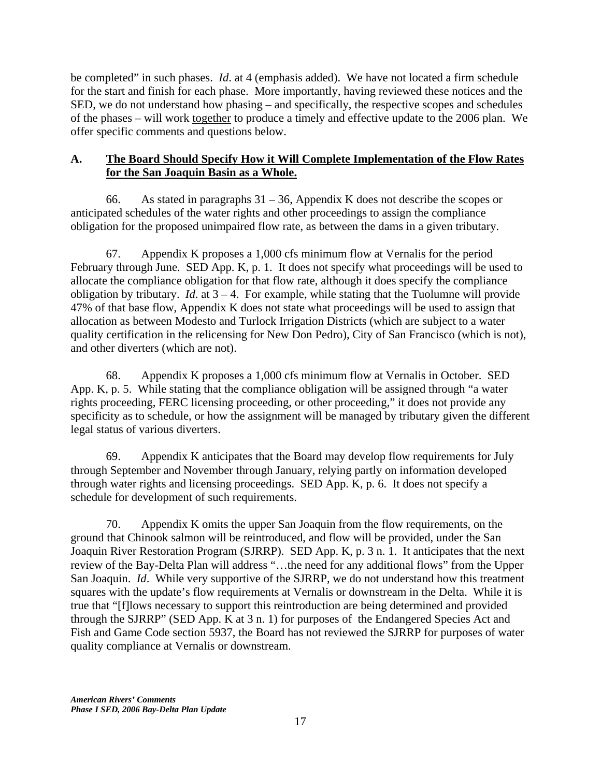be completed" in such phases. *Id*. at 4 (emphasis added). We have not located a firm schedule for the start and finish for each phase. More importantly, having reviewed these notices and the SED, we do not understand how phasing – and specifically, the respective scopes and schedules of the phases – will work together to produce a timely and effective update to the 2006 plan. We offer specific comments and questions below.

## **A. The Board Should Specify How it Will Complete Implementation of the Flow Rates for the San Joaquin Basin as a Whole.**

66. As stated in paragraphs  $31 - 36$ , Appendix K does not describe the scopes or anticipated schedules of the water rights and other proceedings to assign the compliance obligation for the proposed unimpaired flow rate, as between the dams in a given tributary.

67. Appendix K proposes a 1,000 cfs minimum flow at Vernalis for the period February through June. SED App. K, p. 1. It does not specify what proceedings will be used to allocate the compliance obligation for that flow rate, although it does specify the compliance obligation by tributary. *Id.* at  $3 - 4$ . For example, while stating that the Tuolumne will provide 47% of that base flow, Appendix K does not state what proceedings will be used to assign that allocation as between Modesto and Turlock Irrigation Districts (which are subject to a water quality certification in the relicensing for New Don Pedro), City of San Francisco (which is not), and other diverters (which are not).

68. Appendix K proposes a 1,000 cfs minimum flow at Vernalis in October. SED App. K, p. 5. While stating that the compliance obligation will be assigned through "a water rights proceeding, FERC licensing proceeding, or other proceeding," it does not provide any specificity as to schedule, or how the assignment will be managed by tributary given the different legal status of various diverters.

69. Appendix K anticipates that the Board may develop flow requirements for July through September and November through January, relying partly on information developed through water rights and licensing proceedings. SED App. K, p. 6. It does not specify a schedule for development of such requirements.

70. Appendix K omits the upper San Joaquin from the flow requirements, on the ground that Chinook salmon will be reintroduced, and flow will be provided, under the San Joaquin River Restoration Program (SJRRP). SED App. K, p. 3 n. 1. It anticipates that the next review of the Bay-Delta Plan will address "…the need for any additional flows" from the Upper San Joaquin. *Id*. While very supportive of the SJRRP, we do not understand how this treatment squares with the update's flow requirements at Vernalis or downstream in the Delta. While it is true that "[f]lows necessary to support this reintroduction are being determined and provided through the SJRRP" (SED App. K at 3 n. 1) for purposes of the Endangered Species Act and Fish and Game Code section 5937, the Board has not reviewed the SJRRP for purposes of water quality compliance at Vernalis or downstream.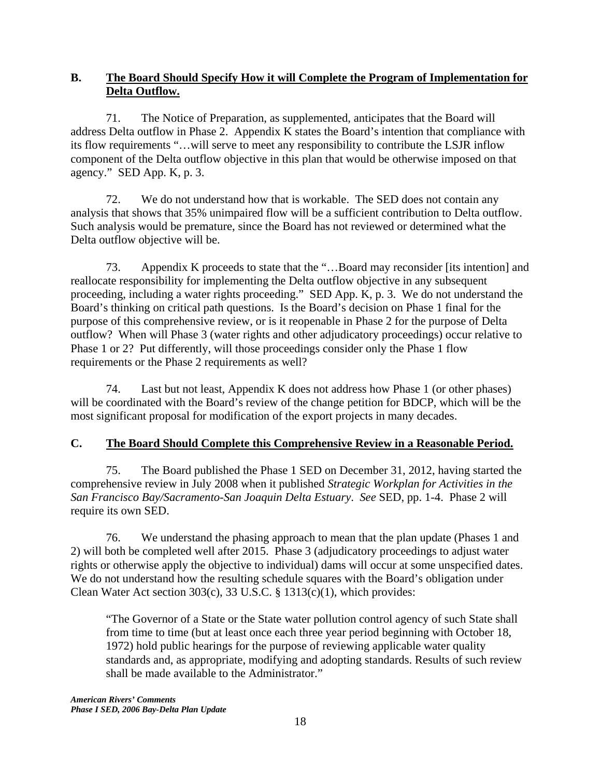## **B. The Board Should Specify How it will Complete the Program of Implementation for Delta Outflow.**

71. The Notice of Preparation, as supplemented, anticipates that the Board will address Delta outflow in Phase 2. Appendix K states the Board's intention that compliance with its flow requirements "…will serve to meet any responsibility to contribute the LSJR inflow component of the Delta outflow objective in this plan that would be otherwise imposed on that agency." SED App. K, p. 3.

72. We do not understand how that is workable. The SED does not contain any analysis that shows that 35% unimpaired flow will be a sufficient contribution to Delta outflow. Such analysis would be premature, since the Board has not reviewed or determined what the Delta outflow objective will be.

73. Appendix K proceeds to state that the "…Board may reconsider [its intention] and reallocate responsibility for implementing the Delta outflow objective in any subsequent proceeding, including a water rights proceeding." SED App. K, p. 3. We do not understand the Board's thinking on critical path questions. Is the Board's decision on Phase 1 final for the purpose of this comprehensive review, or is it reopenable in Phase 2 for the purpose of Delta outflow? When will Phase 3 (water rights and other adjudicatory proceedings) occur relative to Phase 1 or 2? Put differently, will those proceedings consider only the Phase 1 flow requirements or the Phase 2 requirements as well?

74. Last but not least, Appendix K does not address how Phase 1 (or other phases) will be coordinated with the Board's review of the change petition for BDCP, which will be the most significant proposal for modification of the export projects in many decades.

# **C. The Board Should Complete this Comprehensive Review in a Reasonable Period.**

75. The Board published the Phase 1 SED on December 31, 2012, having started the comprehensive review in July 2008 when it published *Strategic Workplan for Activities in the San Francisco Bay/Sacramento-San Joaquin Delta Estuary*. *See* SED, pp. 1-4. Phase 2 will require its own SED.

76. We understand the phasing approach to mean that the plan update (Phases 1 and 2) will both be completed well after 2015. Phase 3 (adjudicatory proceedings to adjust water rights or otherwise apply the objective to individual) dams will occur at some unspecified dates. We do not understand how the resulting schedule squares with the Board's obligation under Clean Water Act section 303(c), 33 U.S.C. § 1313(c)(1), which provides:

"The Governor of a State or the State water pollution control agency of such State shall from time to time (but at least once each three year period beginning with October 18, 1972) hold public hearings for the purpose of reviewing applicable water quality standards and, as appropriate, modifying and adopting standards. Results of such review shall be made available to the Administrator."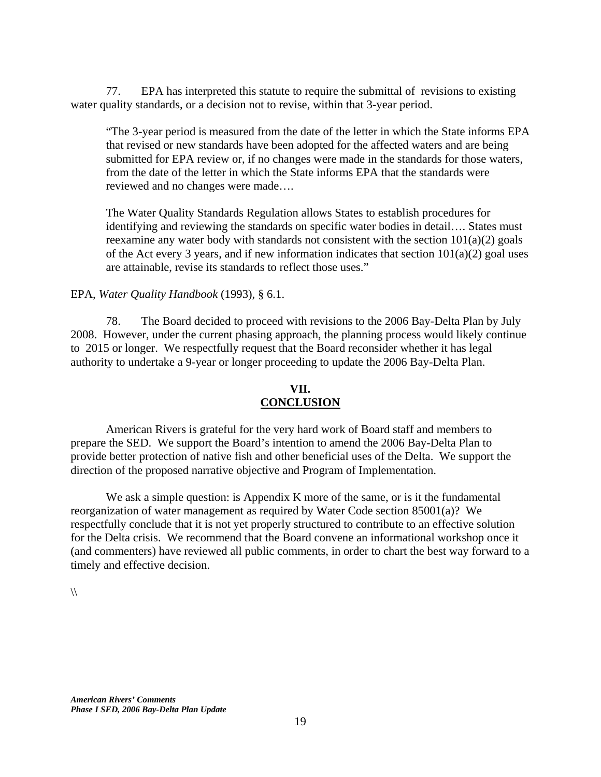77. EPA has interpreted this statute to require the submittal of revisions to existing water quality standards, or a decision not to revise, within that 3-year period.

"The 3-year period is measured from the date of the letter in which the State informs EPA that revised or new standards have been adopted for the affected waters and are being submitted for EPA review or, if no changes were made in the standards for those waters, from the date of the letter in which the State informs EPA that the standards were reviewed and no changes were made….

The Water Quality Standards Regulation allows States to establish procedures for identifying and reviewing the standards on specific water bodies in detail…. States must reexamine any water body with standards not consistent with the section  $101(a)(2)$  goals of the Act every 3 years, and if new information indicates that section  $101(a)(2)$  goal uses are attainable, revise its standards to reflect those uses."

EPA, *Water Quality Handbook* (1993), § 6.1.

78. The Board decided to proceed with revisions to the 2006 Bay-Delta Plan by July 2008. However, under the current phasing approach, the planning process would likely continue to 2015 or longer. We respectfully request that the Board reconsider whether it has legal authority to undertake a 9-year or longer proceeding to update the 2006 Bay-Delta Plan.

## **VII. CONCLUSION**

 American Rivers is grateful for the very hard work of Board staff and members to prepare the SED. We support the Board's intention to amend the 2006 Bay-Delta Plan to provide better protection of native fish and other beneficial uses of the Delta. We support the direction of the proposed narrative objective and Program of Implementation.

We ask a simple question: is Appendix K more of the same, or is it the fundamental reorganization of water management as required by Water Code section 85001(a)? We respectfully conclude that it is not yet properly structured to contribute to an effective solution for the Delta crisis. We recommend that the Board convene an informational workshop once it (and commenters) have reviewed all public comments, in order to chart the best way forward to a timely and effective decision.

 $\sqrt{ }$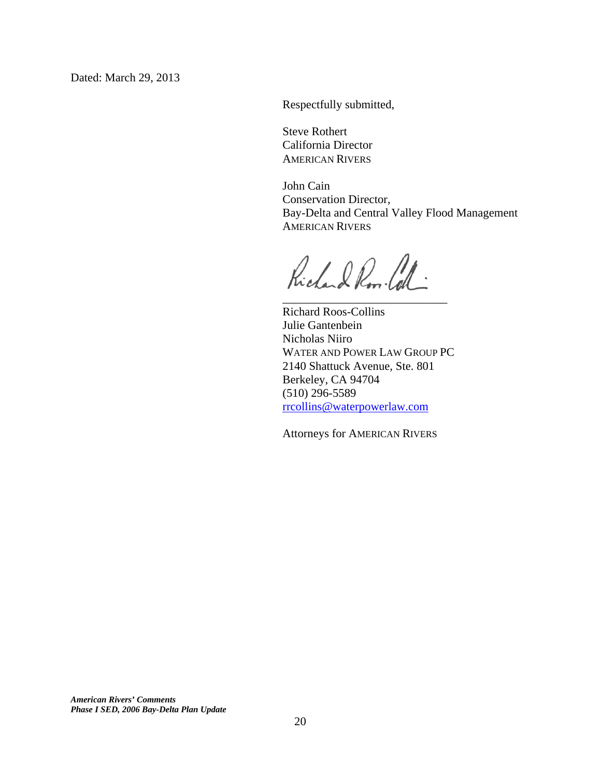Respectfully submitted,

 Steve Rothert California Director AMERICAN RIVERS

 $\overline{\phantom{a}}$  , and the contract of the contract of the contract of the contract of the contract of the contract of the contract of the contract of the contract of the contract of the contract of the contract of the contrac

 John Cain Conservation Director, Bay-Delta and Central Valley Flood Management AMERICAN RIVERS

Richard Rom Call:

Richard Roos-Collins Julie Gantenbein Nicholas Niiro WATER AND POWER LAW GROUP PC 2140 Shattuck Avenue, Ste. 801 Berkeley, CA 94704 (510) 296-5589 rrcollins@waterpowerlaw.com

Attorneys for AMERICAN RIVERS